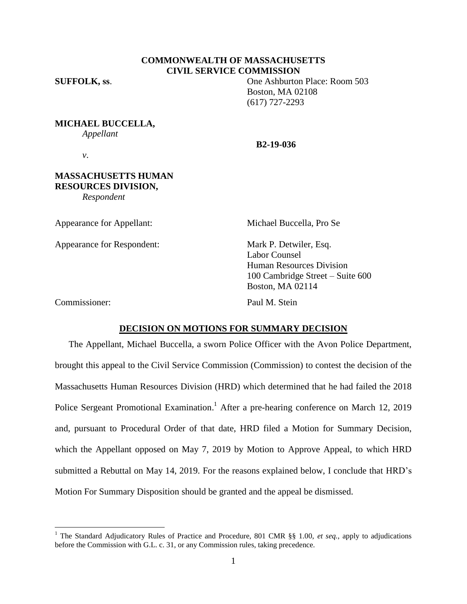## **COMMONWEALTH OF MASSACHUSETTS CIVIL SERVICE COMMISSION**

*v*.

**SUFFOLK, ss**. One Ashburton Place: Room 503 Boston, MA 02108 (617) 727-2293

**MICHAEL BUCCELLA,**

*Appellant*

**B2-19-036**

**MASSACHUSETTS HUMAN RESOURCES DIVISION,**

*Respondent*

Appearance for Appellant: Michael Buccella, Pro Se

Appearance for Respondent: Mark P. Detwiler, Esq.

Labor Counsel Human Resources Division 100 Cambridge Street – Suite 600 Boston, MA 02114

Commissioner: Paul M. Stein

 $\overline{a}$ 

#### **DECISION ON MOTIONS FOR SUMMARY DECISION**

The Appellant, Michael Buccella, a sworn Police Officer with the Avon Police Department, brought this appeal to the Civil Service Commission (Commission) to contest the decision of the Massachusetts Human Resources Division (HRD) which determined that he had failed the 2018 Police Sergeant Promotional Examination.<sup>1</sup> After a pre-hearing conference on March 12, 2019 and, pursuant to Procedural Order of that date, HRD filed a Motion for Summary Decision, which the Appellant opposed on May 7, 2019 by Motion to Approve Appeal, to which HRD submitted a Rebuttal on May 14, 2019. For the reasons explained below, I conclude that HRD's Motion For Summary Disposition should be granted and the appeal be dismissed.

<sup>1</sup> The Standard Adjudicatory Rules of Practice and Procedure, 801 CMR §§ 1.00, *et seq.*, apply to adjudications before the Commission with G.L. c. 31, or any Commission rules, taking precedence.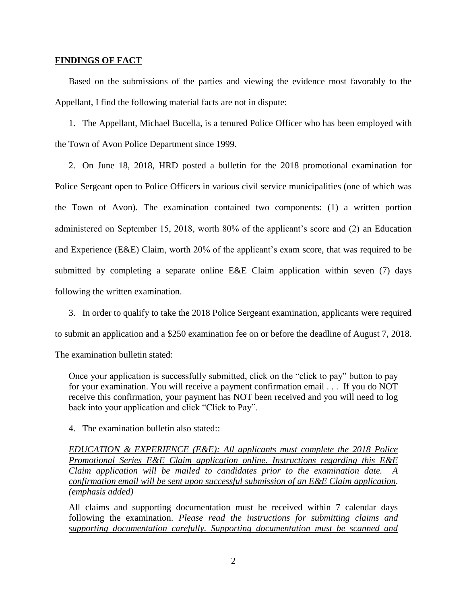#### **FINDINGS OF FACT**

Based on the submissions of the parties and viewing the evidence most favorably to the Appellant, I find the following material facts are not in dispute:

1. The Appellant, Michael Bucella, is a tenured Police Officer who has been employed with the Town of Avon Police Department since 1999.

2. On June 18, 2018, HRD posted a bulletin for the 2018 promotional examination for Police Sergeant open to Police Officers in various civil service municipalities (one of which was the Town of Avon). The examination contained two components: (1) a written portion administered on September 15, 2018, worth 80% of the applicant's score and (2) an Education and Experience (E&E) Claim, worth 20% of the applicant's exam score, that was required to be submitted by completing a separate online E&E Claim application within seven (7) days following the written examination.

3. In order to qualify to take the 2018 Police Sergeant examination, applicants were required to submit an application and a \$250 examination fee on or before the deadline of August 7, 2018.

The examination bulletin stated:

Once your application is successfully submitted, click on the "click to pay" button to pay for your examination. You will receive a payment confirmation email . . . If you do NOT receive this confirmation, your payment has NOT been received and you will need to log back into your application and click "Click to Pay".

4. The examination bulletin also stated::

*EDUCATION & EXPERIENCE (E&E): All applicants must complete the 2018 Police Promotional Series E&E Claim application online. Instructions regarding this E&E Claim application will be mailed to candidates prior to the examination date. A confirmation email will be sent upon successful submission of an E&E Claim application. (emphasis added)*

All claims and supporting documentation must be received within 7 calendar days following the examination. *Please read the instructions for submitting claims and supporting documentation carefully. Supporting documentation must be scanned and*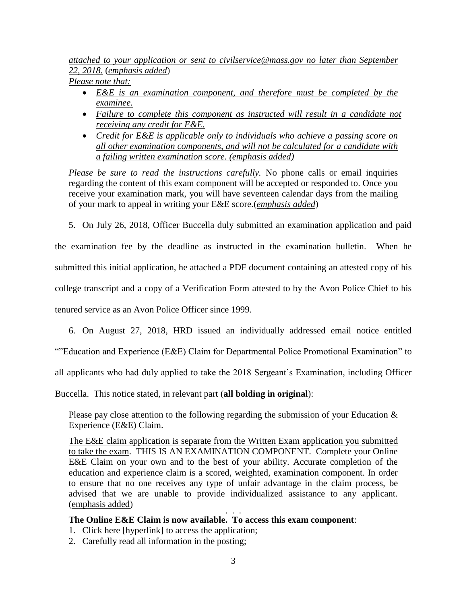*attached to your application or sent to [civilservice@mass.gov](mailto:civilservice@mass.gov) no later than September 22, 2018.* (*emphasis added*) *Please note that:*

- *E&E is an examination component, and therefore must be completed by the examinee.*
- *Failure to complete this component as instructed will result in a candidate not receiving any credit for E&E.*
- *Credit for E&E is applicable only to individuals who achieve a passing score on all other examination components, and will not be calculated for a candidate with a failing written examination score. (emphasis added)*

*Please be sure to read the instructions carefully.* No phone calls or email inquiries regarding the content of this exam component will be accepted or responded to. Once you receive your examination mark, you will have seventeen calendar days from the mailing of your mark to appeal in writing your E&E score.(*emphasis added*)

5. On July 26, 2018, Officer Buccella duly submitted an examination application and paid

the examination fee by the deadline as instructed in the examination bulletin. When he submitted this initial application, he attached a PDF document containing an attested copy of his college transcript and a copy of a Verification Form attested to by the Avon Police Chief to his tenured service as an Avon Police Officer since 1999.

6. On August 27, 2018, HRD issued an individually addressed email notice entitled

""Education and Experience (E&E) Claim for Departmental Police Promotional Examination" to

all applicants who had duly applied to take the 2018 Sergeant's Examination, including Officer

Buccella. This notice stated, in relevant part (**all bolding in original**):

Please pay close attention to the following regarding the submission of your Education  $\&$ Experience (E&E) Claim.

The E&E claim application is separate from the Written Exam application you submitted to take the exam. THIS IS AN EXAMINATION COMPONENT. Complete your Online E&E Claim on your own and to the best of your ability. Accurate completion of the education and experience claim is a scored, weighted, examination component. In order to ensure that no one receives any type of unfair advantage in the claim process, be advised that we are unable to provide individualized assistance to any applicant. (emphasis added) . . .

# **The Online E&E Claim is now available. To access this exam component**:

- 1. Click here [hyperlink] to access the application;
- 2. Carefully read all information in the posting;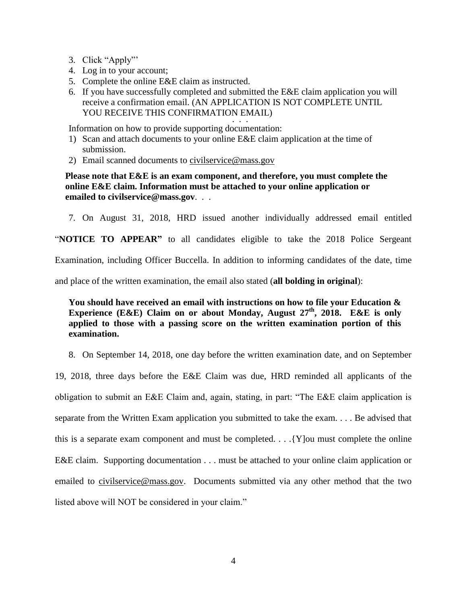- 3. Click "Apply"'
- 4. Log in to your account;
- 5. Complete the online E&E claim as instructed.
- 6. If you have successfully completed and submitted the E&E claim application you will receive a confirmation email. (AN APPLICATION IS NOT COMPLETE UNTIL YOU RECEIVE THIS CONFIRMATION EMAIL) . . ...<br>. . .

Information on how to provide supporting documentation:

- 1) Scan and attach documents to your online E&E claim application at the time of submission.
- 2) Email scanned documents to [civilservice@mass.gov](mailto:civilservice@mass.gov)

**Please note that E&E is an exam component, and therefore, you must complete the online E&E claim. Information must be attached to your online application or emailed to civilservice@mass.gov**. . .

7. On August 31, 2018, HRD issued another individually addressed email entitled

"**NOTICE TO APPEAR"** to all candidates eligible to take the 2018 Police Sergeant

Examination, including Officer Buccella. In addition to informing candidates of the date, time

and place of the written examination, the email also stated (**all bolding in original**):

# **You should have received an email with instructions on how to file your Education & Experience (E&E) Claim on or about Monday, August 27<sup>th</sup>, 2018. E&E is only applied to those with a passing score on the written examination portion of this examination.**

8. On September 14, 2018, one day before the written examination date, and on September

19, 2018, three days before the E&E Claim was due, HRD reminded all applicants of the obligation to submit an E&E Claim and, again, stating, in part: "The E&E claim application is separate from the Written Exam application you submitted to take the exam. . . . Be advised that this is a separate exam component and must be completed. . . .{Y]ou must complete the online E&E claim. Supporting documentation . . . must be attached to your online claim application or emailed to [civilservice@mass.gov.](mailto:civilservice@mass.gov) Documents submitted via any other method that the two listed above will NOT be considered in your claim."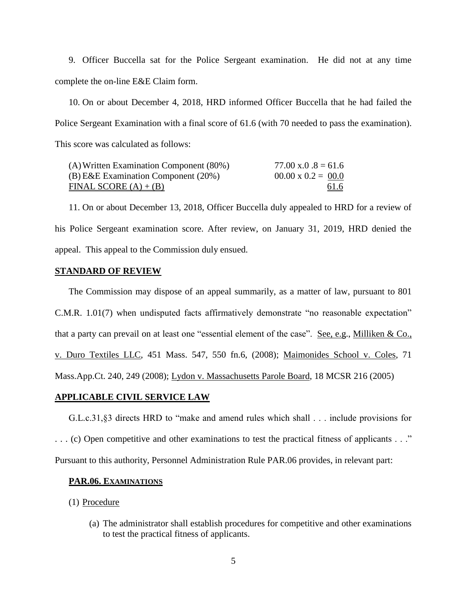9. Officer Buccella sat for the Police Sergeant examination. He did not at any time complete the on-line E&E Claim form.

10. On or about December 4, 2018, HRD informed Officer Buccella that he had failed the Police Sergeant Examination with a final score of 61.6 (with 70 needed to pass the examination). This score was calculated as follows:

| (A) Written Examination Component (80%) | $77.00 \text{ x}.0.8 = 61.6$ |
|-----------------------------------------|------------------------------|
| $(B)$ E&E Examination Component (20%)   | $00.00 \times 0.2 = 00.0$    |
| FINAL SCORE $(A) + (B)$                 | <u>61.6</u>                  |

11. On or about December 13, 2018, Officer Buccella duly appealed to HRD for a review of his Police Sergeant examination score. After review, on January 31, 2019, HRD denied the appeal. This appeal to the Commission duly ensued.

### **STANDARD OF REVIEW**

The Commission may dispose of an appeal summarily, as a matter of law, pursuant to 801 C.M.R. 1.01(7) when undisputed facts affirmatively demonstrate "no reasonable expectation" that a party can prevail on at least one "essential element of the case". See, e.g., Milliken & Co., v. Duro Textiles LLC, 451 Mass. 547, 550 fn.6, (2008); Maimonides School v. Coles, 71 Mass.App.Ct. 240, 249 (2008); Lydon v. Massachusetts Parole Board, 18 MCSR 216 (2005)

### **APPLICABLE CIVIL SERVICE LAW**

G.L.c.31,§3 directs HRD to "make and amend rules which shall . . . include provisions for . . . (c) Open competitive and other examinations to test the practical fitness of applicants . . ." Pursuant to this authority, Personnel Administration Rule PAR.06 provides, in relevant part:

#### **PAR.06. EXAMINATIONS**

(1) Procedure

(a) The administrator shall establish procedures for competitive and other examinations to test the practical fitness of applicants.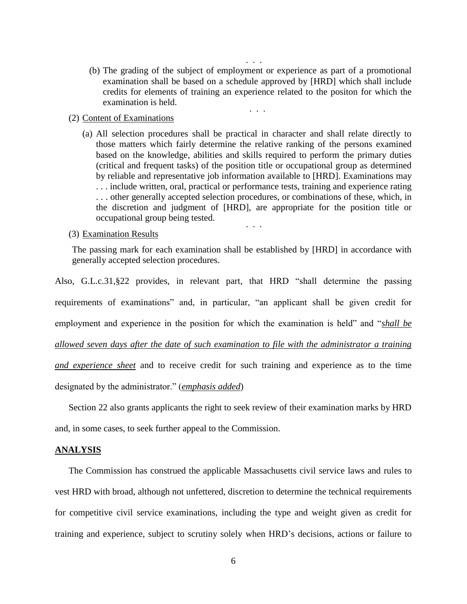(b) The grading of the subject of employment or experience as part of a promotional examination shall be based on a schedule approved by [HRD] which shall include credits for elements of training an experience related to the positon for which the examination is held.

. . .

. . .

#### (2) Content of Examinations

(a) All selection procedures shall be practical in character and shall relate directly to those matters which fairly determine the relative ranking of the persons examined based on the knowledge, abilities and skills required to perform the primary duties (critical and frequent tasks) of the position title or occupational group as determined by reliable and representative job information available to [HRD]. Examinations may . . . include written, oral, practical or performance tests, training and experience rating . . . other generally accepted selection procedures, or combinations of these, which, in the discretion and judgment of [HRD], are appropriate for the position title or occupational group being tested.

. . .

#### (3) Examination Results

The passing mark for each examination shall be established by [HRD] in accordance with generally accepted selection procedures.

Also, G.L.c.31,§22 provides, in relevant part, that HRD "shall determine the passing requirements of examinations" and, in particular, "an applicant shall be given credit for employment and experience in the position for which the examination is held" and "*shall be allowed seven days after the date of such examination to file with the administrator a training and experience sheet* and to receive credit for such training and experience as to the time designated by the administrator." (*emphasis added*)

Section 22 also grants applicants the right to seek review of their examination marks by HRD

and, in some cases, to seek further appeal to the Commission.

#### **ANALYSIS**

The Commission has construed the applicable Massachusetts civil service laws and rules to vest HRD with broad, although not unfettered, discretion to determine the technical requirements for competitive civil service examinations, including the type and weight given as credit for training and experience, subject to scrutiny solely when HRD's decisions, actions or failure to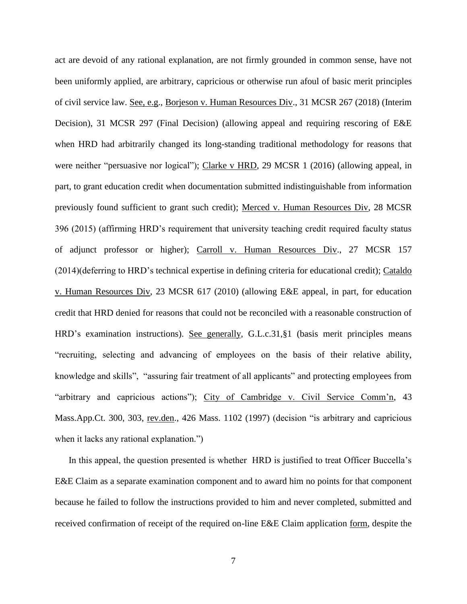act are devoid of any rational explanation, are not firmly grounded in common sense, have not been uniformly applied, are arbitrary, capricious or otherwise run afoul of basic merit principles of civil service law. See, e.g., Borjeson v. Human Resources Div., 31 MCSR 267 (2018) (Interim Decision), 31 MCSR 297 (Final Decision) (allowing appeal and requiring rescoring of E&E when HRD had arbitrarily changed its long-standing traditional methodology for reasons that were neither "persuasive nor logical"); Clarke v HRD, 29 MCSR 1 (2016) (allowing appeal, in part, to grant education credit when documentation submitted indistinguishable from information previously found sufficient to grant such credit); Merced v. Human Resources Div, 28 MCSR 396 (2015) (affirming HRD's requirement that university teaching credit required faculty status of adjunct professor or higher); Carroll v. Human Resources Div., 27 MCSR 157 (2014)(deferring to HRD's technical expertise in defining criteria for educational credit); Cataldo v. Human Resources Div, 23 MCSR 617 (2010) (allowing E&E appeal, in part, for education credit that HRD denied for reasons that could not be reconciled with a reasonable construction of HRD's examination instructions). See generally, G.L.c.31,§1 (basis merit principles means "recruiting, selecting and advancing of employees on the basis of their relative ability, knowledge and skills", "assuring fair treatment of all applicants" and protecting employees from "arbitrary and capricious actions"); City of Cambridge v. Civil Service Comm'n, 43 Mass.App.Ct. 300, 303, rev.den., 426 Mass. 1102 (1997) (decision "is arbitrary and capricious when it lacks any rational explanation."

In this appeal, the question presented is whether HRD is justified to treat Officer Buccella's E&E Claim as a separate examination component and to award him no points for that component because he failed to follow the instructions provided to him and never completed, submitted and received confirmation of receipt of the required on-line E&E Claim application form, despite the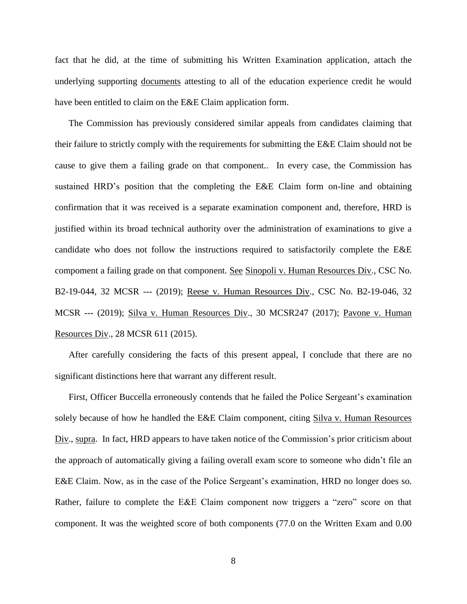fact that he did, at the time of submitting his Written Examination application, attach the underlying supporting documents attesting to all of the education experience credit he would have been entitled to claim on the E&E Claim application form.

The Commission has previously considered similar appeals from candidates claiming that their failure to strictly comply with the requirements for submitting the E&E Claim should not be cause to give them a failing grade on that component.. In every case, the Commission has sustained HRD's position that the completing the E&E Claim form on-line and obtaining confirmation that it was received is a separate examination component and, therefore, HRD is justified within its broad technical authority over the administration of examinations to give a candidate who does not follow the instructions required to satisfactorily complete the E&E compoment a failing grade on that component. See Sinopoli v. Human Resources Div., CSC No. B2-19-044, 32 MCSR --- (2019); Reese v. Human Resources Div., CSC No. B2-19-046, 32 MCSR --- (2019); Silva v. Human Resources Div., 30 MCSR247 (2017); Pavone v. Human Resources Div., 28 MCSR 611 (2015).

After carefully considering the facts of this present appeal, I conclude that there are no significant distinctions here that warrant any different result.

First, Officer Buccella erroneously contends that he failed the Police Sergeant's examination solely because of how he handled the E&E Claim component, citing Silva v. Human Resources Div., supra. In fact, HRD appears to have taken notice of the Commission's prior criticism about the approach of automatically giving a failing overall exam score to someone who didn't file an E&E Claim. Now, as in the case of the Police Sergeant's examination, HRD no longer does so. Rather, failure to complete the E&E Claim component now triggers a "zero" score on that component. It was the weighted score of both components (77.0 on the Written Exam and 0.00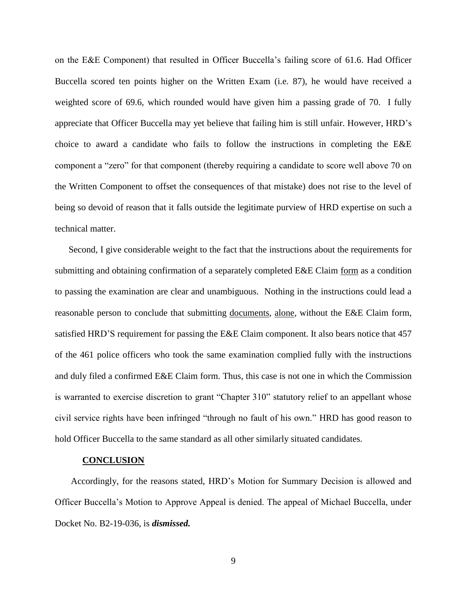on the E&E Component) that resulted in Officer Buccella's failing score of 61.6. Had Officer Buccella scored ten points higher on the Written Exam (i.e. 87), he would have received a weighted score of 69.6, which rounded would have given him a passing grade of 70. I fully appreciate that Officer Buccella may yet believe that failing him is still unfair. However, HRD's choice to award a candidate who fails to follow the instructions in completing the E&E component a "zero" for that component (thereby requiring a candidate to score well above 70 on the Written Component to offset the consequences of that mistake) does not rise to the level of being so devoid of reason that it falls outside the legitimate purview of HRD expertise on such a technical matter.

Second, I give considerable weight to the fact that the instructions about the requirements for submitting and obtaining confirmation of a separately completed E&E Claim form as a condition to passing the examination are clear and unambiguous. Nothing in the instructions could lead a reasonable person to conclude that submitting documents, alone, without the E&E Claim form, satisfied HRD'S requirement for passing the E&E Claim component. It also bears notice that 457 of the 461 police officers who took the same examination complied fully with the instructions and duly filed a confirmed E&E Claim form. Thus, this case is not one in which the Commission is warranted to exercise discretion to grant "Chapter 310" statutory relief to an appellant whose civil service rights have been infringed "through no fault of his own." HRD has good reason to hold Officer Buccella to the same standard as all other similarly situated candidates.

#### **CONCLUSION**

Accordingly, for the reasons stated, HRD's Motion for Summary Decision is allowed and Officer Buccella's Motion to Approve Appeal is denied. The appeal of Michael Buccella, under Docket No. B2-19-036, is *dismissed.*